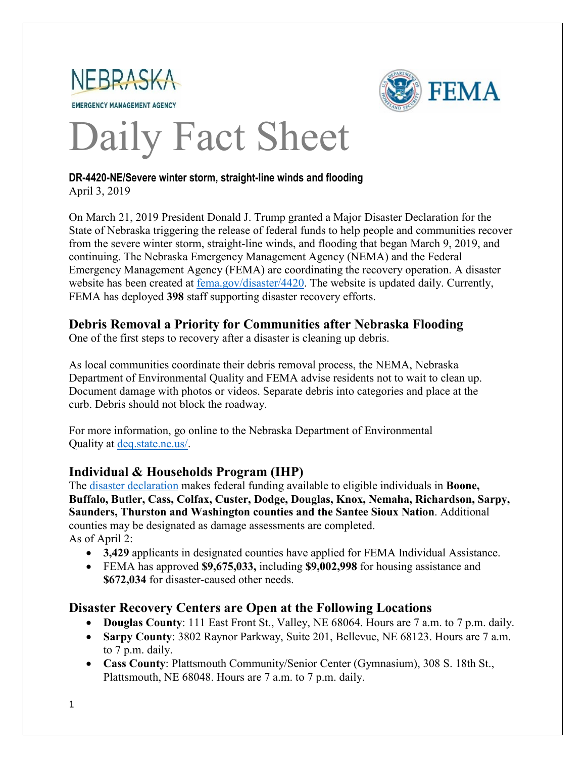



# Daily Fact Sheet

#### **DR-4420-NE/Severe winter storm, straight-line winds and flooding** April 3, 2019

On March 21, 2019 President Donald J. Trump granted a Major Disaster Declaration for the State of Nebraska triggering the release of federal funds to help people and communities recover from the severe winter storm, straight-line winds, and flooding that began March 9, 2019, and continuing. The Nebraska Emergency Management Agency (NEMA) and the Federal Emergency Management Agency (FEMA) are coordinating the recovery operation. A disaster website has been created at [fema.gov/disaster/4420.](https://www.fema.gov/disaster/4420) The website is updated daily. Currently, FEMA has deployed **398** staff supporting disaster recovery efforts.

### **Debris Removal a Priority for Communities after Nebraska Flooding**

One of the first steps to recovery after a disaster is cleaning up debris.

As local communities coordinate their debris removal process, the NEMA, Nebraska Department of Environmental Quality and FEMA advise residents not to wait to clean up. Document damage with photos or videos. Separate debris into categories and place at the curb. Debris should not block the roadway.

For more information, go online to the Nebraska Department of Environmental Quality at [deq.state.ne.us/.](http://www.deq.state.ne.us/)

## **Individual & Households Program (IHP)**

The [disaster declaration](https://www.fema.gov/disaster/4420/designated-areas) makes federal funding available to eligible individuals in **Boone, Buffalo, Butler, Cass, Colfax, Custer, Dodge, Douglas, Knox, Nemaha, Richardson, Sarpy, Saunders, Thurston and Washington counties and the Santee Sioux Nation**. Additional counties may be designated as damage assessments are completed. As of April 2:

- **3,429** applicants in designated counties have applied for FEMA Individual Assistance.
- FEMA has approved **\$9,675,033,** including **\$9,002,998** for housing assistance and **\$672,034** for disaster-caused other needs.

## **Disaster Recovery Centers are Open at the Following Locations**

- **Douglas County**: 111 East Front St., Valley, NE 68064. Hours are 7 a.m. to 7 p.m. daily.
- **Sarpy County**: 3802 Raynor Parkway, Suite 201, Bellevue, NE 68123. Hours are 7 a.m. to 7 p.m. daily.
- **Cass County**: Plattsmouth Community/Senior Center (Gymnasium), 308 S. 18th St., Plattsmouth, NE 68048. Hours are 7 a.m. to 7 p.m. daily.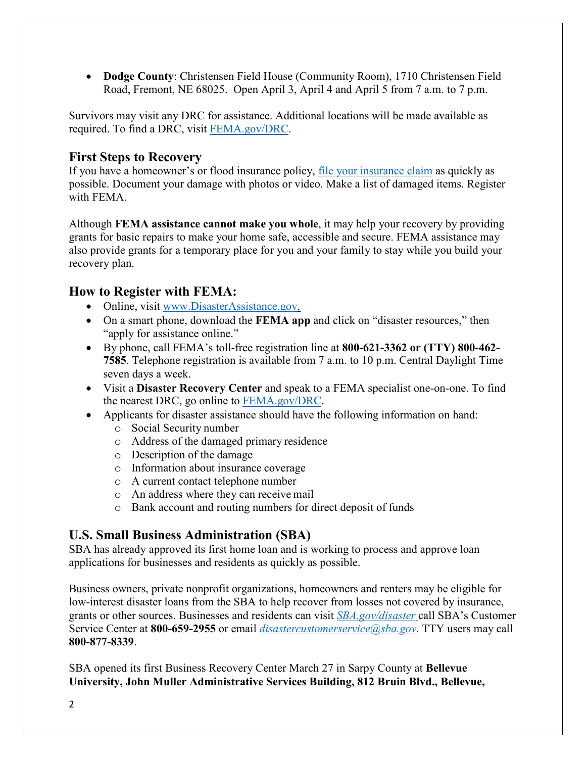• **Dodge County**: Christensen Field House (Community Room), 1710 Christensen Field Road, Fremont, NE 68025. Open April 3, April 4 and April 5 from 7 a.m. to 7 p.m.

Survivors may visit any DRC for assistance. Additional locations will be made available as required. To find a DRC, visit [FEMA.gov/DRC.](https://www.fema.gov/disaster-recovery-centers)

#### **First Steps to Recovery**

If you have a homeowner's or flood insurance policy, [file your insurance claim](https://www.fema.gov/media-library-data/1508950641147-55cd79e196bc6ea15aba1c69bb9f1cef/FINAL_ClaimsHandbook.pdf) as quickly as possible. Document your damage with photos or video. Make a list of damaged items. Register with FEMA.

Although **FEMA assistance cannot make you whole**, it may help your recovery by providing grants for basic repairs to make your home safe, accessible and secure. FEMA assistance may also provide grants for a temporary place for you and your family to stay while you build your recovery plan.

## **How to Register with FEMA:**

- Online, visit [www.DisasterAssistance.gov.](http://www.disasterassistance.gov/)
- On a smart phone, download the **FEMA app** and click on "disaster resources," then "apply for assistance online."
- By phone, call FEMA's toll-free registration line at **800-621-3362 or (TTY) 800-462- 7585**. Telephone registration is available from 7 a.m. to 10 p.m. Central Daylight Time seven days a week.
- Visit a **Disaster Recovery Center** and speak to a FEMA specialist one-on-one. To find the nearest DRC, go online to [FEMA.gov/DRC.](https://www.fema.gov/disaster-recovery-centers)
- Applicants for disaster assistance should have the following information on hand:
	- o Social Security number
	- o Address of the damaged primary residence
	- o Description of the damage
	- o Information about insurance coverage
	- o A current contact telephone number
	- o An address where they can receive mail
	- o Bank account and routing numbers for direct deposit of funds

## **U.S. Small Business Administration (SBA)**

SBA has already approved its first home loan and is working to process and approve loan applications for businesses and residents as quickly as possible.

Business owners, private nonprofit organizations, homeowners and renters may be eligible for low-interest disaster loans from the SBA to help recover from losses not covered by insurance, grants or other sources. Businesses and residents can visit *[SBA.gov/disaster](http://www.sba.gov/disaster)* call SBA's Customer Service Center at **800-659-2955** or email *[disastercustomerservice@sba.gov.](mailto:disastercustomerservice@sba.gov)* TTY users may call **800-877-8339**.

SBA opened its first Business Recovery Center March 27 in Sarpy County at **Bellevue University, John Muller Administrative Services Building, 812 Bruin Blvd., Bellevue,**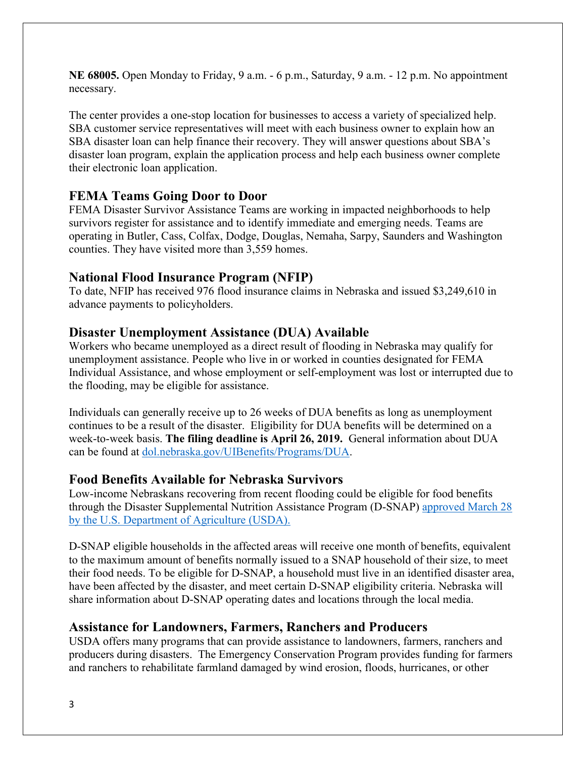**NE 68005.** Open Monday to Friday, 9 a.m. - 6 p.m., Saturday, 9 a.m. - 12 p.m. No appointment necessary.

The center provides a one-stop location for businesses to access a variety of specialized help. SBA customer service representatives will meet with each business owner to explain how an SBA disaster loan can help finance their recovery. They will answer questions about SBA's disaster loan program, explain the application process and help each business owner complete their electronic loan application.

## **FEMA Teams Going Door to Door**

FEMA Disaster Survivor Assistance Teams are working in impacted neighborhoods to help survivors register for assistance and to identify immediate and emerging needs. Teams are operating in Butler, Cass, Colfax, Dodge, Douglas, Nemaha, Sarpy, Saunders and Washington counties. They have visited more than 3,559 homes.

#### **National Flood Insurance Program (NFIP)**

To date, NFIP has received 976 flood insurance claims in Nebraska and issued \$3,249,610 in advance payments to policyholders.

### **Disaster Unemployment Assistance (DUA) Available**

Workers who became unemployed as a direct result of flooding in Nebraska may qualify for unemployment assistance. People who live in or worked in counties designated for FEMA Individual Assistance, and whose employment or self-employment was lost or interrupted due to the flooding, may be eligible for assistance.

Individuals can generally receive up to 26 weeks of DUA benefits as long as unemployment continues to be a result of the disaster. Eligibility for DUA benefits will be determined on a week-to-week basis. **The filing deadline is April 26, 2019.** General information about DUA can be found at [dol.nebraska.gov/UIBenefits/Programs/DUA.](https://dol.nebraska.gov/UIBenefits/Programs/DUA)

#### **Food Benefits Available for Nebraska Survivors**

Low-income Nebraskans recovering from recent flooding could be eligible for food benefits through the Disaster Supplemental Nutrition Assistance Program (D-SNAP) [approved March 28](https://www.usda.gov/media/press-releases/2019/03/28/usda-approves-disaster-snap-school-meals-waiver-nebraska-disaster)  [by the U.S. Department of Agriculture \(USDA\).](https://www.usda.gov/media/press-releases/2019/03/28/usda-approves-disaster-snap-school-meals-waiver-nebraska-disaster)

D-SNAP eligible households in the affected areas will receive one month of benefits, equivalent to the maximum amount of benefits normally issued to a SNAP household of their size, to meet their food needs. To be eligible for D-SNAP, a household must live in an identified disaster area, have been affected by the disaster, and meet certain D-SNAP eligibility criteria. Nebraska will share information about D-SNAP operating dates and locations through the local media.

## **Assistance for Landowners, Farmers, Ranchers and Producers**

USDA offers many programs that can provide assistance to landowners, farmers, ranchers and producers during disasters. The Emergency Conservation Program provides funding for farmers and ranchers to rehabilitate farmland damaged by wind erosion, floods, hurricanes, or other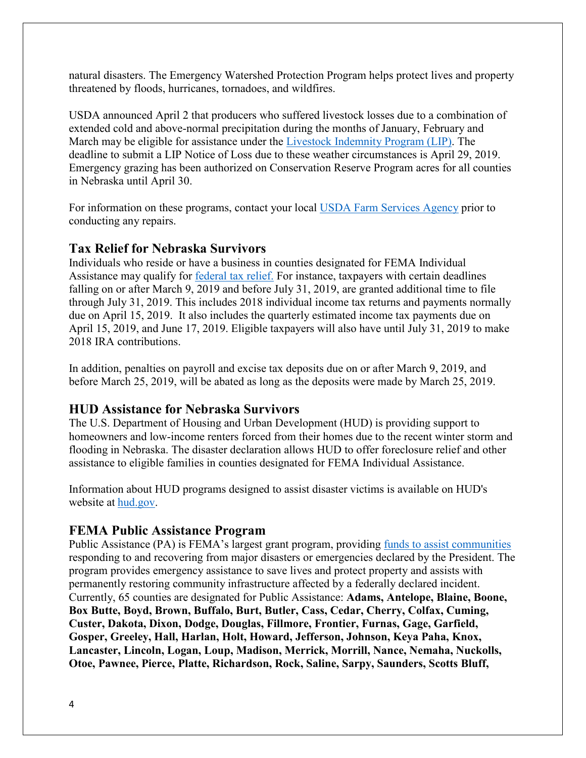natural disasters. The Emergency Watershed Protection Program helps protect lives and property threatened by floods, hurricanes, tornadoes, and wildfires.

USDA announced April 2 that producers who suffered livestock losses due to a combination of extended cold and above-normal precipitation during the months of January, February and March may be eligible for assistance under the [Livestock Indemnity Program \(LIP\).](http://links.govdelivery.com/track?type=click&enid=ZWFzPTEmbXNpZD0mYXVpZD0mbWFpbGluZ2lkPTIwMTkwNDAyLjQwOTY0MTEmbWVzc2FnZWlkPU1EQi1QUkQtQlVMLTIwMTkwNDAyLjQwOTY0MTEmZGF0YWJhc2VpZD0xMDAxJnNlcmlhbD0xNzM4NzE1MCZlbWFpbGlkPWRlYm9yYWguaGlsbEBkbS51c2RhLmdvdiZ1c2VyaWQ9ZGVib3JhaC5oaWxsQGRtLnVzZGEuZ292JnRhcmdldGlkPSZmbD0mZXh0cmE9TXVsdGl2YXJpYXRlSWQ9JiYm&&&101&&&https://www.fsa.usda.gov/Assets/USDA-FSA-Public/usdafiles/FactSheets/2019/livestock_indemnity_program-fact_sheet.pdf?utm_medium=email&utm_source=govdelivery) The deadline to submit a LIP Notice of Loss due to these weather circumstances is April 29, 2019. Emergency grazing has been authorized on Conservation Reserve Program acres for all counties in Nebraska until April 30.

For information on these programs, contact your local [USDA Farm Services Agency](https://offices.sc.egov.usda.gov/locator/app?service=page/CountyMap&state=NE&stateName=Nebraska&stateCode=31) prior to conducting any repairs.

### **Tax Relief for Nebraska Survivors**

Individuals who reside or have a business in counties designated for FEMA Individual Assistance may qualify for [federal tax relief.](https://www.irs.gov/newsroom/irs-announces-tax-relief-for-nebraska-victims-of-severe-winter-storm-straight-line-winds-and-flooding) For instance, taxpayers with certain deadlines falling on or after March 9, 2019 and before July 31, 2019, are granted additional time to file through July 31, 2019. This includes 2018 individual income tax returns and payments normally due on April 15, 2019. It also includes the quarterly estimated income tax payments due on April 15, 2019, and June 17, 2019. Eligible taxpayers will also have until July 31, 2019 to make 2018 IRA contributions.

In addition, penalties on payroll and excise tax deposits due on or after March 9, 2019, and before March 25, 2019, will be abated as long as the deposits were made by March 25, 2019.

#### **HUD Assistance for Nebraska Survivors**

The U.S. Department of Housing and Urban Development (HUD) is providing support to homeowners and low-income renters forced from their homes due to the recent winter storm and flooding in Nebraska. The disaster declaration allows HUD to offer foreclosure relief and other assistance to eligible families in counties designated for FEMA Individual Assistance.

Information about HUD programs designed to assist disaster victims is available on HUD's website at [hud.gov.](https://www.hud.gov/)

#### **FEMA Public Assistance Program**

Public Assistance (PA) is FEMA's largest grant program, providing [funds to assist communities](https://www.fema.gov/public-assistance-policy-and-guidance) responding to and recovering from major disasters or emergencies declared by the President. The program provides emergency assistance to save lives and protect property and assists with permanently restoring community infrastructure affected by a federally declared incident. Currently, 65 counties are designated for Public Assistance: **Adams, Antelope, Blaine, Boone, Box Butte, Boyd, Brown, Buffalo, Burt, Butler, Cass, Cedar, Cherry, Colfax, Cuming, Custer, Dakota, Dixon, Dodge, Douglas, Fillmore, Frontier, Furnas, Gage, Garfield, Gosper, Greeley, Hall, Harlan, Holt, Howard, Jefferson, Johnson, Keya Paha, Knox, Lancaster, Lincoln, Logan, Loup, Madison, Merrick, Morrill, Nance, Nemaha, Nuckolls, Otoe, Pawnee, Pierce, Platte, Richardson, Rock, Saline, Sarpy, Saunders, Scotts Bluff,**